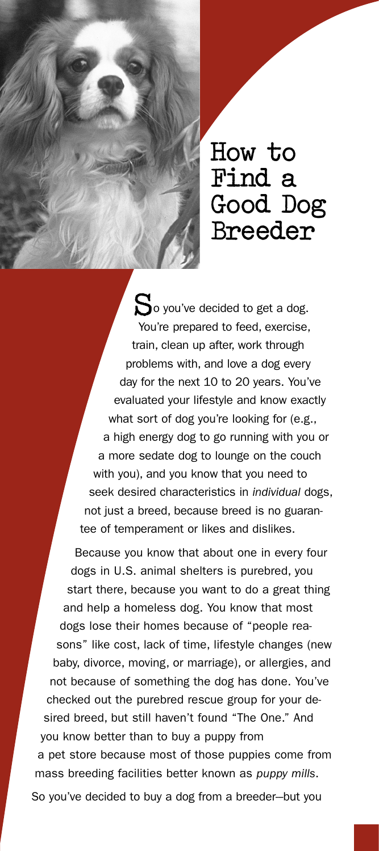

**How to Find a Good Dog Breeder** 

So you've decided to get a dog. You're prepared to feed, exercise, train, clean up after, work through problems with, and love a dog every day for the next 10 to 20 years. You've evaluated your lifestyle and know exactly what sort of dog you're looking for (e.g., a high energy dog to go running with you or a more sedate dog to lounge on the couch with you), and you know that you need to seek desired characteristics in *individual* dogs, not just a breed, because breed is no guarantee of temperament or likes and dislikes.

Because you know that about one in every four dogs in U.S. animal shelters is purebred, you start there, because you want to do a great thing and help a homeless dog. You know that most dogs lose their homes because of "people reasons" like cost, lack of time, lifestyle changes (new baby, divorce, moving, or marriage), or allergies, and not because of something the dog has done. You've checked out the purebred rescue group for your desired breed, but still haven't found "The One." And you know better than to buy a puppy from a pet store because most of those puppies come from mass breeding facilities better known as *puppy mills*. So you've decided to buy a dog from a breeder--but you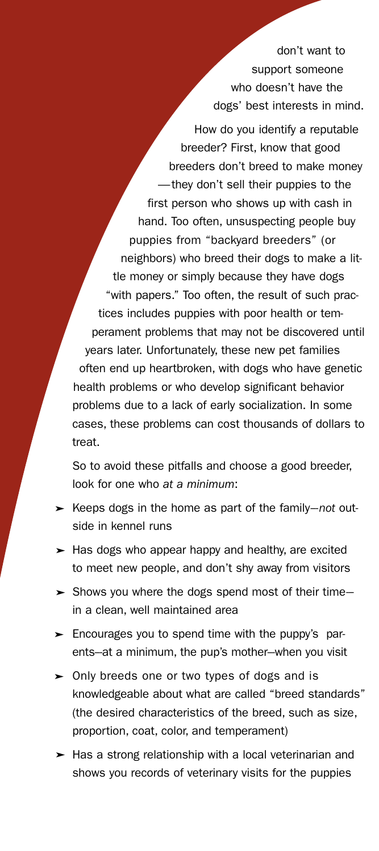don't want to support someone who doesn't have the dogs' best interests in mind.

How do you identify a reputable breeder? First, know that good breeders don't breed to make money —they don't sell their puppies to the first person who shows up with cash in hand. Too often, unsuspecting people buy puppies from "backyard breeders" (or neighbors) who breed their dogs to make a little money or simply because they have dogs "with papers." Too often, the result of such practices includes puppies with poor health or temperament problems that may not be discovered until years later. Unfortunately, these new pet families often end up heartbroken, with dogs who have genetic health problems or who develop significant behavior problems due to a lack of early socialization. In some cases, these problems can cost thousands of dollars to treat.

So to avoid these pitfalls and choose a good breeder, look for one who *at a minimum*:

- ► Keeps dogs in the home as part of the family-not outside in kennel runs
- ► Has dogs who appear happy and healthy, are excited to meet new people, and don't shy away from visitors
- ► Shows you where the dogs spend most of their timein a clean, well maintained area
- ► Encourages you to spend time with the puppy's parents-at a minimum, the pup's mother-when you visit
- ► Only breeds one or two types of dogs and is knowledgeable about what are called "breed standards" (the desired characteristics of the breed, such as size, proportion, coat, color, and temperament)
- ► Has a strong relationship with a local veterinarian and shows you records of veterinary visits for the puppies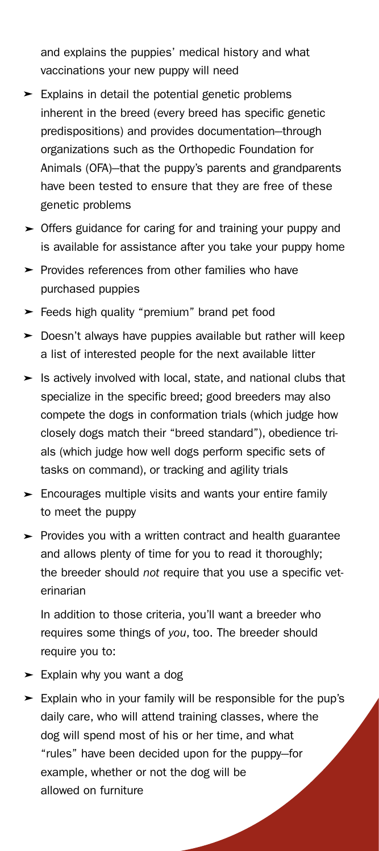and explains the puppies' medical history and what vaccinations your new puppy will need

- ► Explains in detail the potential genetic problems inherent in the breed (every breed has specific genetic predispositions) and provides documentation--through organizations such as the Orthopedic Foundation for Animals (OFA)--that the puppy's parents and grandparents have been tested to ensure that they are free of these genetic problems
- ► Offers guidance for caring for and training your puppy and is available for assistance after you take your puppy home
- ► Provides references from other families who have purchased puppies
- ► Feeds high quality "premium" brand pet food
- ► Doesn't always have puppies available but rather will keep a list of interested people for the next available litter
- ► Is actively involved with local, state, and national clubs that specialize in the specific breed; good breeders may also compete the dogs in conformation trials (which judge how closely dogs match their "breed standard"), obedience trials (which judge how well dogs perform specific sets of tasks on command), or tracking and agility trials
- ► Encourages multiple visits and wants your entire family to meet the puppy
- ► Provides you with a written contract and health guarantee and allows plenty of time for you to read it thoroughly; the breeder should *not* require that you use a specific veterinarian

In addition to those criteria, you'll want a breeder who requires some things of *you*, too. The breeder should require you to:

- ► Explain why you want a dog
- ► Explain who in your family will be responsible for the pup's daily care, who will attend training classes, where the dog will spend most of his or her time, and what "rules" have been decided upon for the puppy-for example, whether or not the dog will be allowed on furniture